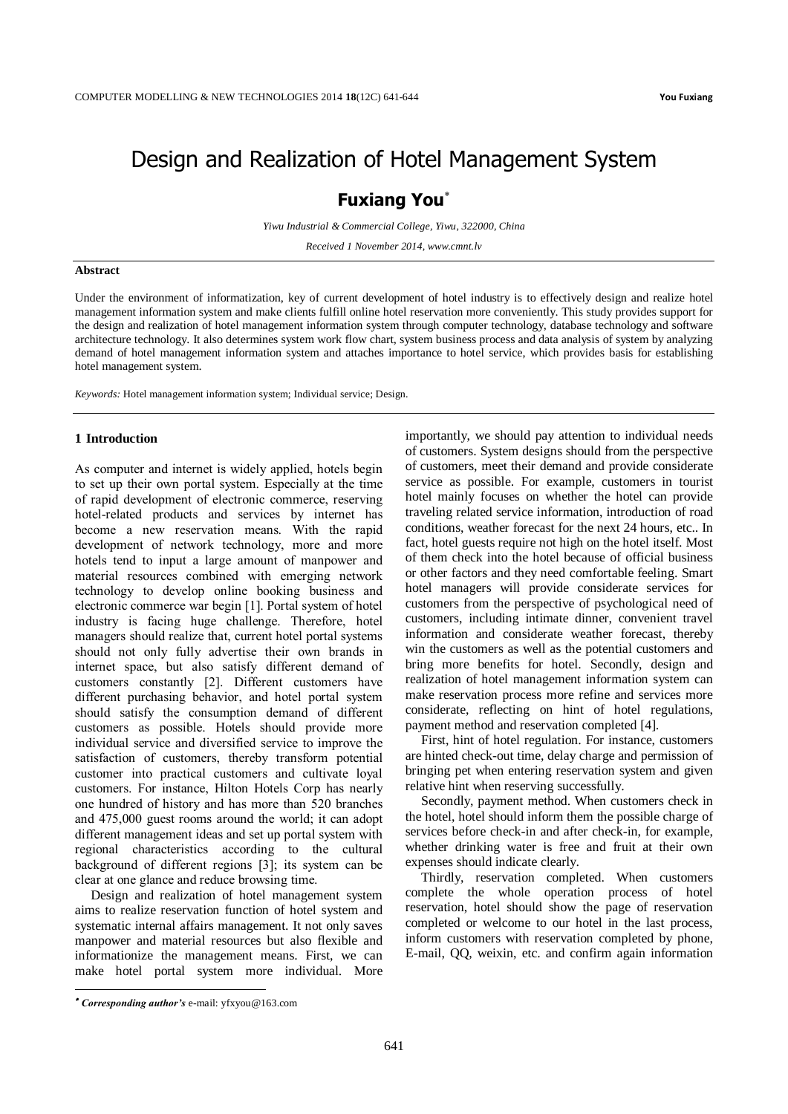# Design and Realization of Hotel Management System

## **Fuxiang You**

*Yiwu Industrial & Commercial College, Yiwu, 322000, China*

*Received 1 November 2014, www.cmnt.lv*

#### **Abstract**

Under the environment of informatization, key of current development of hotel industry is to effectively design and realize hotel management information system and make clients fulfill online hotel reservation more conveniently. This study provides support for the design and realization of hotel management information system through computer technology, database technology and software architecture technology. It also determines system work flow chart, system business process and data analysis of system by analyzing demand of hotel management information system and attaches importance to hotel service, which provides basis for establishing hotel management system.

*Keywords:* Hotel management information system; Individual service; Design.

#### **1 Introduction**

As computer and internet is widely applied, hotels begin to set up their own portal system. Especially at the time of rapid development of electronic commerce, reserving hotel-related products and services by internet has become a new reservation means. With the rapid development of network technology, more and more hotels tend to input a large amount of manpower and material resources combined with emerging network technology to develop online booking business and electronic commerce war begin [1]. Portal system of hotel industry is facing huge challenge. Therefore, hotel managers should realize that, current hotel portal systems should not only fully advertise their own brands in internet space, but also satisfy different demand of customers constantly [2]. Different customers have different purchasing behavior, and hotel portal system should satisfy the consumption demand of different customers as possible. Hotels should provide more individual service and diversified service to improve the satisfaction of customers, thereby transform potential customer into practical customers and cultivate loyal customers. For instance, Hilton Hotels Corp has nearly one hundred of history and has more than 520 branches and 475,000 guest rooms around the world; it can adopt different management ideas and set up portal system with regional characteristics according to the cultural background of different regions [3]; its system can be clear at one glance and reduce browsing time.

Design and realization of hotel management system aims to realize reservation function of hotel system and systematic internal affairs management. It not only saves manpower and material resources but also flexible and informationize the management means. First, we can make hotel portal system more individual. More

importantly, we should pay attention to individual needs of customers. System designs should from the perspective of customers, meet their demand and provide considerate service as possible. For example, customers in tourist hotel mainly focuses on whether the hotel can provide traveling related service information, introduction of road conditions, weather forecast for the next 24 hours, etc.. In fact, hotel guests require not high on the hotel itself. Most of them check into the hotel because of official business or other factors and they need comfortable feeling. Smart hotel managers will provide considerate services for customers from the perspective of psychological need of customers, including intimate dinner, convenient travel information and considerate weather forecast, thereby win the customers as well as the potential customers and bring more benefits for hotel. Secondly, design and realization of hotel management information system can make reservation process more refine and services more considerate, reflecting on hint of hotel regulations, payment method and reservation completed [4].

First, hint of hotel regulation. For instance, customers are hinted check-out time, delay charge and permission of bringing pet when entering reservation system and given relative hint when reserving successfully.

Secondly, payment method. When customers check in the hotel, hotel should inform them the possible charge of services before check-in and after check-in, for example, whether drinking water is free and fruit at their own expenses should indicate clearly.

Thirdly, reservation completed. When customers complete the whole operation process of hotel reservation, hotel should show the page of reservation completed or welcome to our hotel in the last process, inform customers with reservation completed by phone, E-mail, QQ, weixin, etc. and confirm again information

-

*Corresponding author's* e-mail: yfxyou@163.com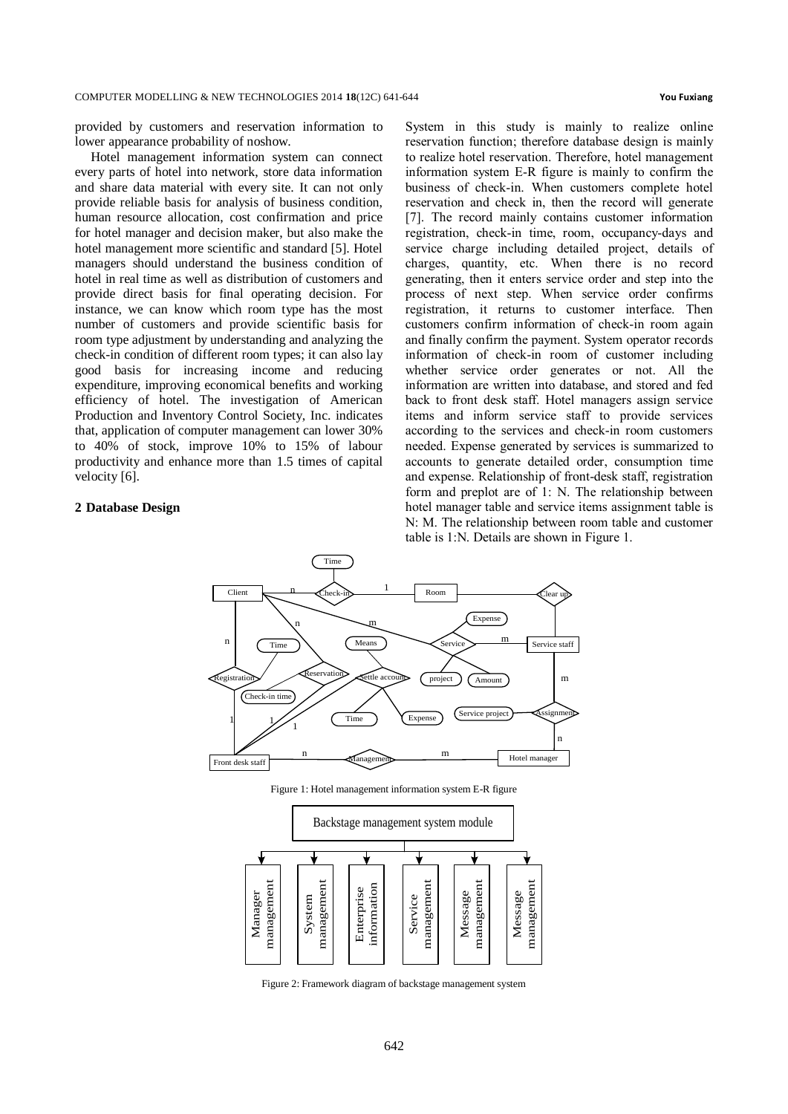provided by customers and reservation information to lower appearance probability of noshow.

Hotel management information system can connect every parts of hotel into network, store data information and share data material with every site. It can not only provide reliable basis for analysis of business condition, human resource allocation, cost confirmation and price for hotel manager and decision maker, but also make the hotel management more scientific and standard [5]. Hotel managers should understand the business condition of hotel in real time as well as distribution of customers and provide direct basis for final operating decision. For instance, we can know which room type has the most number of customers and provide scientific basis for room type adjustment by understanding and analyzing the check-in condition of different room types; it can also lay good basis for increasing income and reducing expenditure, improving economical benefits and working efficiency of hotel. The investigation of American Production and Inventory Control Society, Inc. indicates that, application of computer management can lower 30% to 40% of stock, improve 10% to 15% of labour productivity and enhance more than 1.5 times of capital velocity [6].

### **2 Database Design**

System in this study is mainly to realize online reservation function; therefore database design is mainly to realize hotel reservation. Therefore, hotel management information system E-R figure is mainly to confirm the business of check-in. When customers complete hotel reservation and check in, then the record will generate [7]. The record mainly contains customer information registration, check-in time, room, occupancy-days and service charge including detailed project, details of charges, quantity, etc. When there is no record generating, then it enters service order and step into the process of next step. When service order confirms registration, it returns to customer interface. Then customers confirm information of check-in room again and finally confirm the payment. System operator records information of check-in room of customer including whether service order generates or not. All the information are written into database, and stored and fed back to front desk staff. Hotel managers assign service items and inform service staff to provide services according to the services and check-in room customers needed. Expense generated by services is summarized to accounts to generate detailed order, consumption time and expense. Relationship of front-desk staff, registration form and preplot are of 1: N. The relationship between hotel manager table and service items assignment table is N: M. The relationship between room table and customer table is 1:N. Details are shown in Figure 1.



Figure 1: Hotel management information system E-R figure



Figure 2: Framework diagram of backstage management system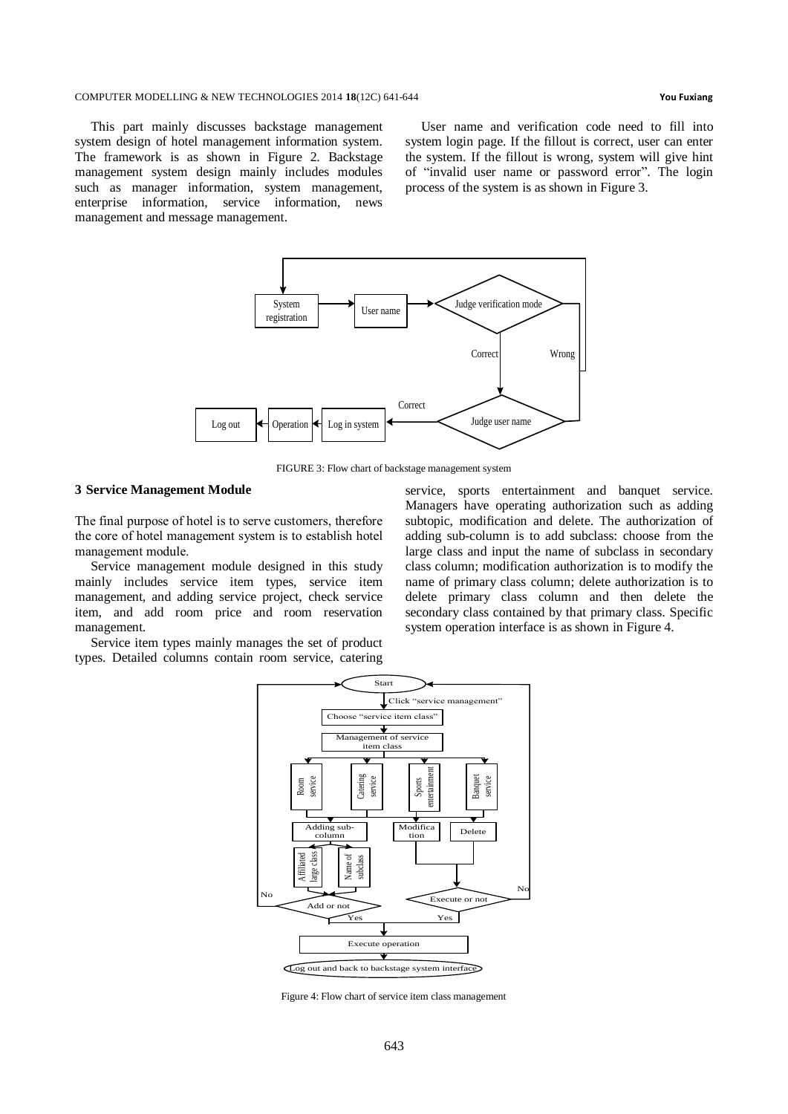#### COMPUTER MODELLING & NEW TECHNOLOGIES 2014 **18**(12C) 641-644 **You Fuxiang**

This part mainly discusses backstage management system design of hotel management information system. The framework is as shown in Figure 2. Backstage management system design mainly includes modules such as manager information, system management, enterprise information, service information, news management and message management.

User name and verification code need to fill into system login page. If the fillout is correct, user can enter the system. If the fillout is wrong, system will give hint of "invalid user name or password error". The login process of the system is as shown in Figure 3.



FIGURE 3: Flow chart of backstage management system

#### **3 Service Management Module**

The final purpose of hotel is to serve customers, therefore the core of hotel management system is to establish hotel management module.

Service management module designed in this study mainly includes service item types, service item management, and adding service project, check service item, and add room price and room reservation management.

Service item types mainly manages the set of product types. Detailed columns contain room service, catering

service, sports entertainment and banquet service. Managers have operating authorization such as adding subtopic, modification and delete. The authorization of adding sub-column is to add subclass: choose from the large class and input the name of subclass in secondary class column; modification authorization is to modify the name of primary class column; delete authorization is to delete primary class column and then delete the secondary class contained by that primary class. Specific system operation interface is as shown in Figure 4.



Figure 4: Flow chart of service item class management